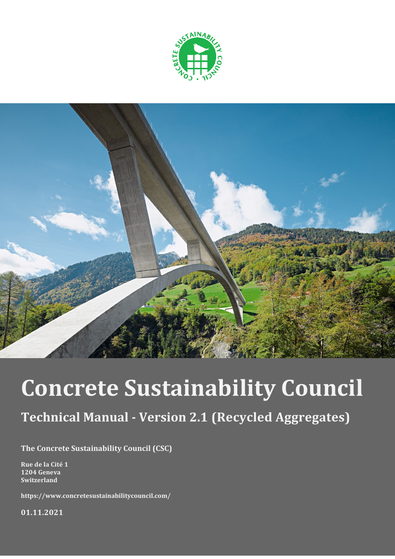



# **Concrete Sustainability Council**

# **Technical Manual - Version 2.1 (Recycled Aggregates)**

**The Concrete Sustainability Council (CSC)**

**Rue de la Cité 1 1204 Geneva Switzerland**

**https://www.concretesustainabilitycouncil.com/**

**01.11.2021**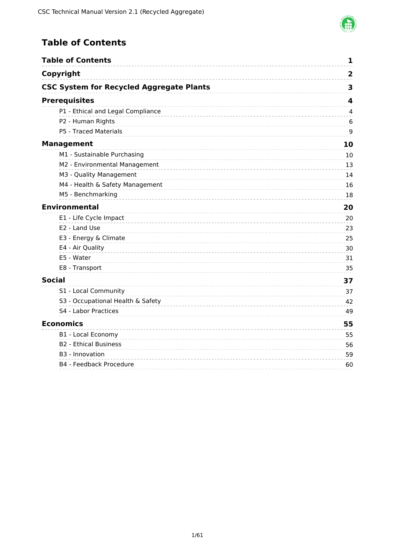

# <span id="page-1-0"></span>**Table of Contents**

| <b>Table of Contents</b>                        | 1                       |
|-------------------------------------------------|-------------------------|
| Copyright                                       | $\overline{\mathbf{2}}$ |
| <b>CSC System for Recycled Aggregate Plants</b> | 3                       |
| <b>Prerequisites</b>                            | 4                       |
| P1 - Ethical and Legal Compliance               | 4                       |
| P2 - Human Rights                               | 6                       |
| P5 - Traced Materials                           | 9                       |
| <b>Management</b>                               | 10                      |
| M1 - Sustainable Purchasing                     | 10                      |
| M2 - Environmental Management                   | 13                      |
| M3 - Quality Management                         | 14                      |
| M4 - Health & Safety Management                 | 16                      |
| M5 - Benchmarking                               | 18                      |
| <b>Environmental</b>                            | 20                      |
| E1 - Life Cycle Impact                          | 20                      |
| E2 - Land Use                                   | 23                      |
| E3 - Energy & Climate                           | 25                      |
| E4 - Air Quality                                | 30                      |
| E5 - Water                                      | 31                      |
| E8 - Transport                                  | 35                      |
| <b>Social</b>                                   | 37                      |
| S1 - Local Community                            | 37                      |
| S3 - Occupational Health & Safety               | 42                      |
| S4 - Labor Practices                            | 49                      |
| <b>Economics</b>                                | 55                      |
| B1 - Local Economy                              | 55                      |
| <b>B2 - Ethical Business</b>                    | 56                      |
| B <sub>3</sub> - Innovation                     | 59                      |
| B4 - Feedback Procedure                         | 60                      |
|                                                 |                         |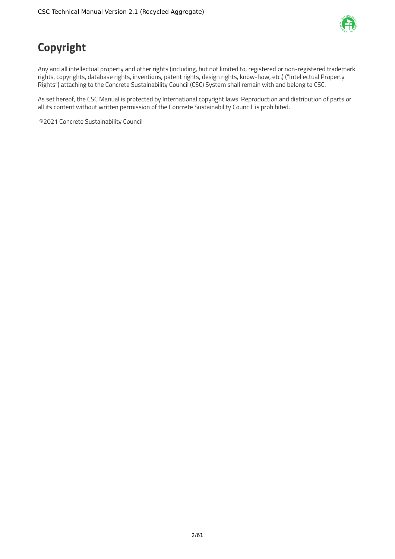

# <span id="page-2-0"></span>**Copyright**

Any and all intellectual property and other rights (including, but not limited to, registered or non-registered trademark rights, copyrights, database rights, inventions, patent rights, design rights, know-how, etc.) ("Intellectual Property Rights") attaching to the Concrete Sustainability Council (CSC) System shall remain with and belong to CSC.

As set hereof, the CSC Manual is protected by International copyright laws. Reproduction and distribution of parts or all its content without written permission of the Concrete Sustainability Council is prohibited.

©2021 Concrete Sustainability Council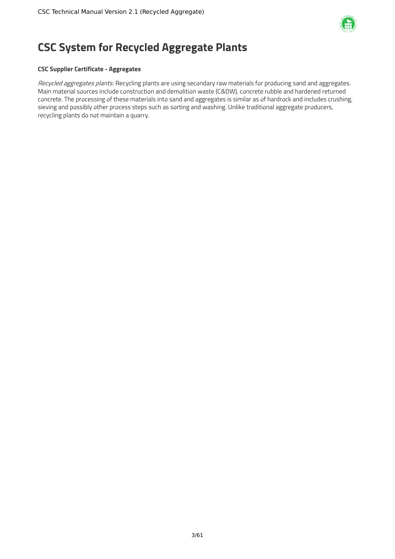

# <span id="page-3-0"></span>**CSC System for Recycled Aggregate Plants**

# **CSC Supplier Certificate - Aggregates**

Recycled aggregates plants: Recycling plants are using secondary raw materials for producing sand and aggregates. Main material sources include construction and demolition waste (C&DW), concrete rubble and hardened returned concrete. The processing of these materials into sand and aggregates is similar as of hardrock and includes crushing, sieving and possibly other process steps such as sorting and washing. Unlike traditional aggregate producers, recycling plants do not maintain a quarry.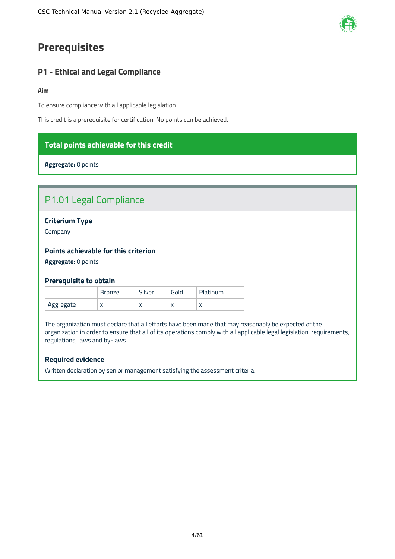# <span id="page-4-0"></span>**Prerequisites**

# <span id="page-4-1"></span>**P1 - Ethical and Legal Compliance**

#### **Aim**

To ensure compliance with all applicable legislation.

This credit is a prerequisite for certification. No points can be achieved.

# **Total points achievable for this credit**

**Aggregate:** 0 points

# P1.01 Legal Compliance

# **Criterium Type**

Company

# **Points achievable for this criterion**

**Aggregate:** 0 points

### **Prerequisite to obtain**

|           | <b>Bronze</b> | Silver    | Gold      | Platinum |
|-----------|---------------|-----------|-----------|----------|
| Aggregate | $\sqrt{ }$    | $\lambda$ | $\lambda$ |          |

The organization must declare that all efforts have been made that may reasonably be expected of the organization in order to ensure that all of its operations comply with all applicable legal legislation, requirements, regulations, laws and by-laws.

# **Required evidence**

Written declaration by senior management satisfying the assessment criteria.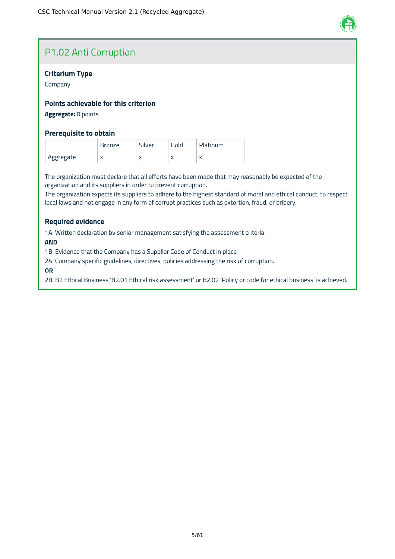

# P1.02 Anti Corruption

# **Criterium Type**

Company

# **Points achievable for this criterion**

# **Aggregate:** 0 points

### **Prerequisite to obtain**

|           | <b>Bronze</b> | Silver    | Gold      | Platinum |
|-----------|---------------|-----------|-----------|----------|
| Aggregate | $\sqrt{ }$    | $\lambda$ | $\lambda$ |          |

The organization must declare that all efforts have been made that may reasonably be expected of the organization and its suppliers in order to prevent corruption.

The organization expects its suppliers to adhere to the highest standard of moral and ethical conduct, to respect local laws and not engage in any form of corrupt practices such as extortion, fraud, or bribery.

# **Required evidence**

1A: Written declaration by senior management satisfying the assessment criteria.

**AND**

1B: Evidence that the Company has a Supplier Code of Conduct in place

2A: Company specific guidelines, directives, policies addressing the risk of corruption.

**OR**

2B: B2 Ethical Business 'B2.01 Ethical risk assessment' or B2.02 'Policy or code for ethical business' is achieved.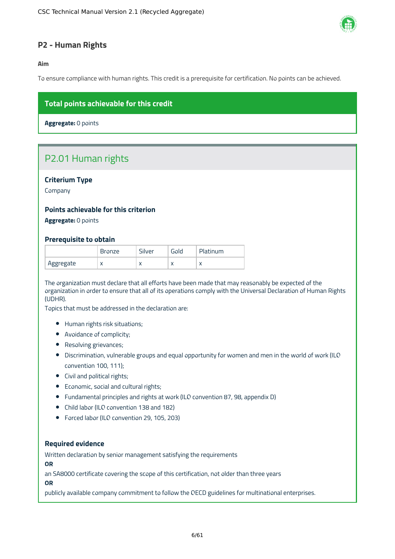

# <span id="page-6-0"></span>**P2 - Human Rights**

**Aim**

To ensure compliance with human rights. This credit is a prerequisite for certification. No points can be achieved.

# **Total points achievable for this credit**

**Aggregate:** 0 points

# P2.01 Human rights

# **Criterium Type**

Company

# **Points achievable for this criterion**

**Aggregate:** 0 points

### **Prerequisite to obtain**

|           | Bronze    | $\overline{\phantom{a}}$<br>ilverد | Gold      | Platinum   |
|-----------|-----------|------------------------------------|-----------|------------|
| Aggregate | $\lambda$ | ↗                                  | $\lambda$ | $\sqrt{ }$ |

The organization must declare that all efforts have been made that may reasonably be expected of the organization in order to ensure that all of its operations comply with the Universal Declaration of Human Rights (UDHR).

Topics that must be addressed in the declaration are:

- Human rights risk situations;
- Avoidance of complicity;
- Resolving grievances;
- Discrimination, vulnerable groups and equal opportunity for women and men in the world of work (ILO convention 100, 111);
- Civil and political rights;
- Economic, social and cultural rights;
- Fundamental principles and rights at work (ILO convention 87, 98, appendix D)
- Child labor (ILO convention 138 and 182)
- Forced labor (ILO convention 29, 105, 203)

#### **Required evidence**

Written declaration by senior management satisfying the requirements

**OR**

an SA8000 certificate covering the scope of this certification, not older than three years

**OR**

publicly available company commitment to follow the OECD guidelines for multinational enterprises.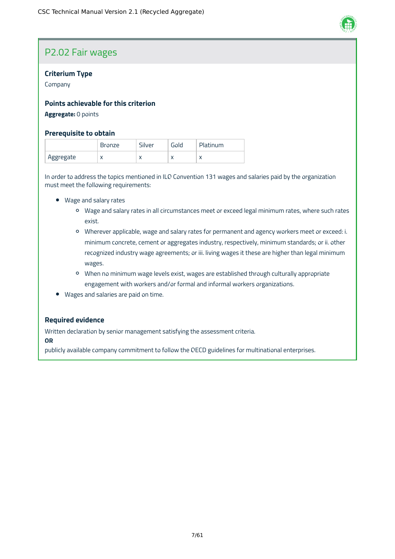

# P2.02 Fair wages

# **Criterium Type**

Company

# **Points achievable for this criterion**

# **Aggregate:** 0 points

### **Prerequisite to obtain**

|           | ronze?"   | Silver    | Gola      | Platinum  |
|-----------|-----------|-----------|-----------|-----------|
| Aggregate | $\lambda$ | $\lambda$ | $\lambda$ | $\lambda$ |

In order to address the topics mentioned in ILO Convention 131 wages and salaries paid by the organization must meet the following requirements:

- Wage and salary rates
	- Wage and salary rates in all circumstances meet or exceed legal minimum rates, where such rates exist.
	- Wherever applicable, wage and salary rates for permanent and agency workers meet or exceed: i. minimum concrete, cement or aggregates industry, respectively, minimum standards; or ii. other recognized industry wage agreements; or iii. living wages it these are higher than legal minimum wages.
	- When no minimum wage levels exist, wages are established through culturally appropriate engagement with workers and/or formal and informal workers organizations.
- Wages and salaries are paid on time.

### **Required evidence**

Written declaration by senior management satisfying the assessment criteria.

**OR**

publicly available company commitment to follow the OECD guidelines for multinational enterprises.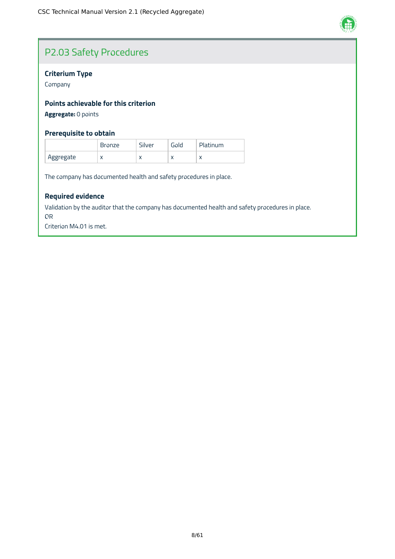

# P2.03 Safety Procedures

# **Criterium Type**

Company

# **Points achievable for this criterion**

**Aggregate:** 0 points

# **Prerequisite to obtain**

|           | <b>Bronze</b> | Silver    | Gola      | Platinum |
|-----------|---------------|-----------|-----------|----------|
| Aggregate | $\lambda$     | $\lambda$ | $\lambda$ |          |

The company has documented health and safety procedures in place.

# **Required evidence**

Validation by the auditor that the company has documented health and safety procedures in place. OR

Criterion M4.01 is met.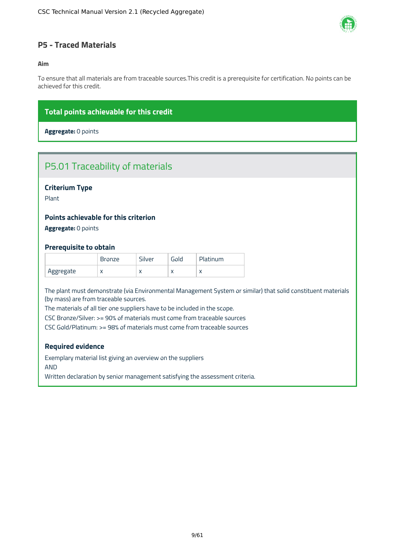

# <span id="page-9-0"></span>**P5 - Traced Materials**

# **Aim**

To ensure that all materials are from traceable sources.This credit is a prerequisite for certification. No points can be achieved for this credit.

# **Total points achievable for this credit**

**Aggregate:** 0 points

# P5.01 Traceability of materials

# **Criterium Type**

Plant

# **Points achievable for this criterion**

**Aggregate:** 0 points

# **Prerequisite to obtain**

|           | <b>Bronze</b> | Silver    | Gold      | Platinum  |
|-----------|---------------|-----------|-----------|-----------|
| Aggregate | $\lambda$     | $\lambda$ | $\lambda$ | $\lambda$ |

The plant must demonstrate (via Environmental Management System or similar) that solid constituent materials (by mass) are from traceable sources.

The materials of all tier one suppliers have to be included in the scope.

CSC Bronze/Silver: >= 90% of materials must come from traceable sources

CSC Gold/Platinum: >= 98% of materials must come from traceable sources

### **Required evidence**

Exemplary material list giving an overview on the suppliers AND

Written declaration by senior management satisfying the assessment criteria.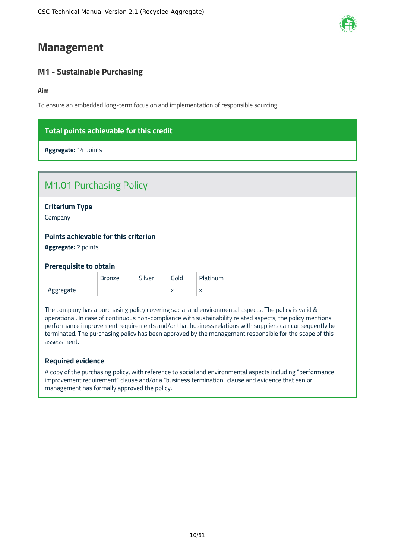# <span id="page-10-0"></span>**Management**

# <span id="page-10-1"></span>**M1 - Sustainable Purchasing**

**Aim**

To ensure an embedded long-term focus on and implementation of responsible sourcing.

# **Total points achievable for this credit**

**Aggregate:** 14 points

| <b>Points achievable for this criterion</b> |  |
|---------------------------------------------|--|
| <b>Criterium Type</b><br>Company            |  |
|                                             |  |
| <b>M1.01 Purchasing Policy</b>              |  |

**Aggregate:** 2 points

### **Prerequisite to obtain**

|           | Bronze | Silver | Gold      | Platinum |
|-----------|--------|--------|-----------|----------|
| Aggregate |        |        | $\lambda$ |          |

The company has a purchasing policy covering social and environmental aspects. The policy is valid & operational. In case of continuous non-compliance with sustainability related aspects, the policy mentions performance improvement requirements and/or that business relations with suppliers can consequently be terminated. The purchasing policy has been approved by the management responsible for the scope of this assessment.

### **Required evidence**

A copy of the purchasing policy, with reference to social and environmental aspects including "performance improvement requirement" clause and/or a "business termination" clause and evidence that senior management has formally approved the policy.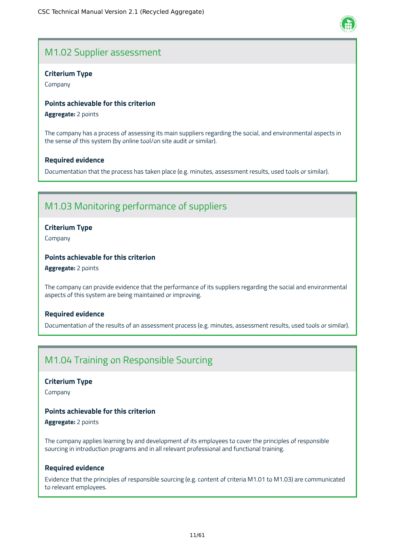# M1.02 Supplier assessment

# **Criterium Type**

Company

# **Points achievable for this criterion**

**Aggregate:** 2 points

The company has a process of assessing its main suppliers regarding the social, and environmental aspects in the sense of this system (by online tool/on site audit or similar).

# **Required evidence**

Documentation that the process has taken place (e.g. minutes, assessment results, used tools or similar).

# M1.03 Monitoring performance of suppliers

# **Criterium Type**

Company

# **Points achievable for this criterion**

**Aggregate:** 2 points

The company can provide evidence that the performance of its suppliers regarding the social and environmental aspects of this system are being maintained or improving.

# **Required evidence**

Documentation of the results of an assessment process (e.g. minutes, assessment results, used tools or similar).

# M1.04 Training on Responsible Sourcing

### **Criterium Type**

Company

# **Points achievable for this criterion**

**Aggregate:** 2 points

The company applies learning by and development of its employees to cover the principles of responsible sourcing in introduction programs and in all relevant professional and functional training.

# **Required evidence**

Evidence that the principles of responsible sourcing (e.g. content of criteria M1.01 to M1.03) are communicated to relevant employees.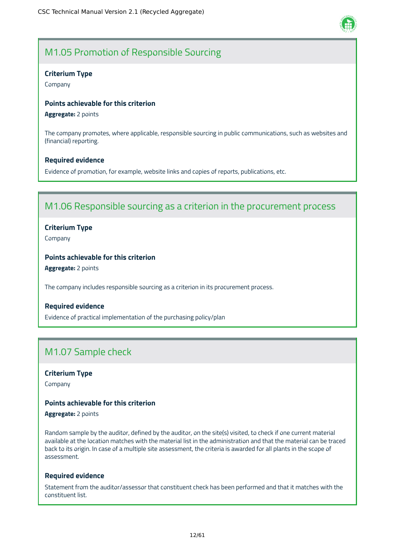

# M1.05 Promotion of Responsible Sourcing

### **Criterium Type**

Company

#### **Points achievable for this criterion**

**Aggregate:** 2 points

The company promotes, where applicable, responsible sourcing in public communications, such as websites and (financial) reporting.

#### **Required evidence**

Evidence of promotion, for example, website links and copies of reports, publications, etc.

# M1.06 Responsible sourcing as a criterion in the procurement process

### **Criterium Type**

Company

# **Points achievable for this criterion**

**Aggregate:** 2 points

The company includes responsible sourcing as a criterion in its procurement process.

### **Required evidence**

Evidence of practical implementation of the purchasing policy/plan

# M1.07 Sample check

### **Criterium Type**

Company

# **Points achievable for this criterion**

**Aggregate:** 2 points

Random sample by the auditor, defined by the auditor, on the site(s) visited, to check if one current material available at the location matches with the material list in the administration and that the material can be traced back to its origin. In case of a multiple site assessment, the criteria is awarded for all plants in the scope of assessment.

#### **Required evidence**

Statement from the auditor/assessor that constituent check has been performed and that it matches with the constituent list.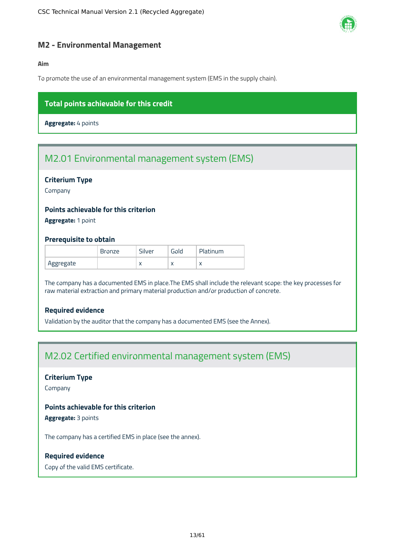

# <span id="page-13-0"></span>**M2 - Environmental Management**

# **Aim**

To promote the use of an environmental management system (EMS in the supply chain).

# **Total points achievable for this credit**

**Aggregate:** 4 points

# M2.01 Environmental management system (EMS)

# **Criterium Type**

Company

# **Points achievable for this criterion**

**Aggregate:** 1 point

### **Prerequisite to obtain**

|           | Bronze | $\sim$<br>Sılver | Gold      | Platinum  |
|-----------|--------|------------------|-----------|-----------|
| Aggregate |        | $\lambda$        | $\lambda$ | $\lambda$ |

The company has a documented EMS in place.The EMS shall include the relevant scope: the key processes for raw material extraction and primary material production and/or production of concrete.

# **Required evidence**

Validation by the auditor that the company has a documented EMS (see the Annex).

# M2.02 Certified environmental management system (EMS)

# **Criterium Type**

Company

# **Points achievable for this criterion**

**Aggregate:** 3 points

The company has a certified EMS in place (see the annex).

### **Required evidence**

Copy of the valid EMS certificate.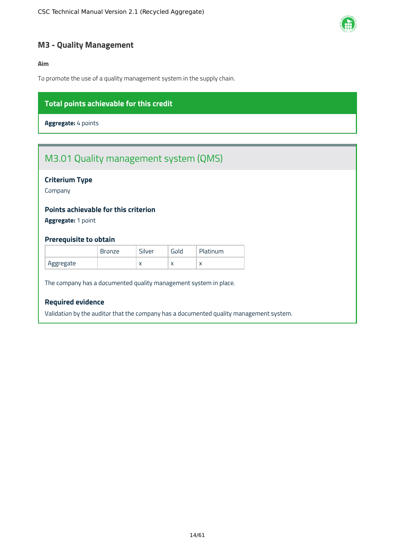

# <span id="page-14-0"></span>**M3 - Quality Management**

# **Aim**

To promote the use of a quality management system in the supply chain.

# **Total points achievable for this credit**

**Aggregate:** 4 points

# M3.01 Quality management system (QMS)

# **Criterium Type**

Company

# **Points achievable for this criterion**

**Aggregate:** 1 point

### **Prerequisite to obtain**

|           | <b>Bronze</b> | Silver    | Gold      | Platinum  |
|-----------|---------------|-----------|-----------|-----------|
| Aggregate |               | $\lambda$ | $\lambda$ | $\lambda$ |

The company has a documented quality management system in place.

# **Required evidence**

Validation by the auditor that the company has a documented quality management system.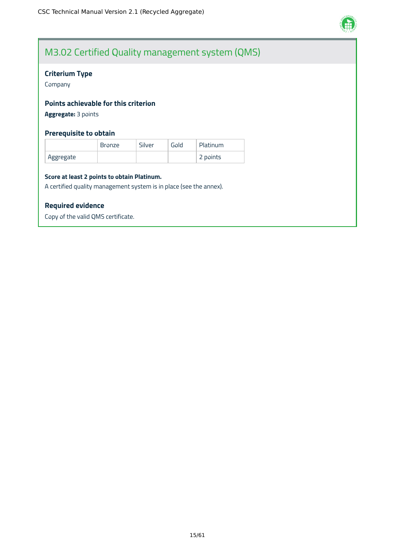

# M3.02 Certified Quality management system (QMS)

# **Criterium Type**

Company

# **Points achievable for this criterion**

**Aggregate:** 3 points

# **Prerequisite to obtain**

|            | <b>Bronze</b> | Silver | Gold | Platinum |
|------------|---------------|--------|------|----------|
| `Aggregate |               |        |      | 2 points |

#### **Score at least 2 points to obtain Platinum.**

A certified quality management system is in place (see the annex).

#### **Required evidence**

Copy of the valid QMS certificate.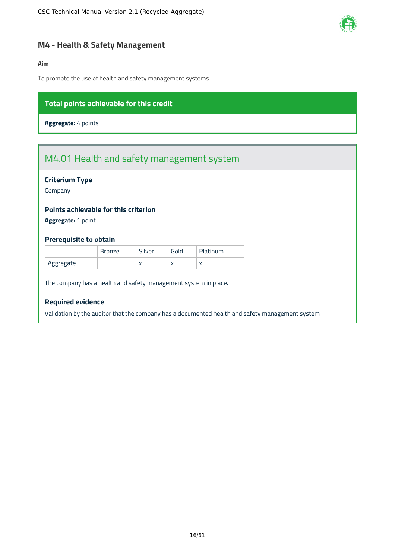

# <span id="page-16-0"></span>**M4 - Health & Safety Management**

### **Aim**

To promote the use of health and safety management systems.

# **Total points achievable for this credit**

**Aggregate:** 4 points

# M4.01 Health and safety management system

# **Criterium Type**

Company

# **Points achievable for this criterion**

**Aggregate:** 1 point

### **Prerequisite to obtain**

|           | <b>Bronze</b> | Silver       | Gold      | Platinum |
|-----------|---------------|--------------|-----------|----------|
| Aggregate |               | $\mathbf{v}$ | $\lambda$ |          |

The company has a health and safety management system in place.

# **Required evidence**

Validation by the auditor that the company has a documented health and safety management system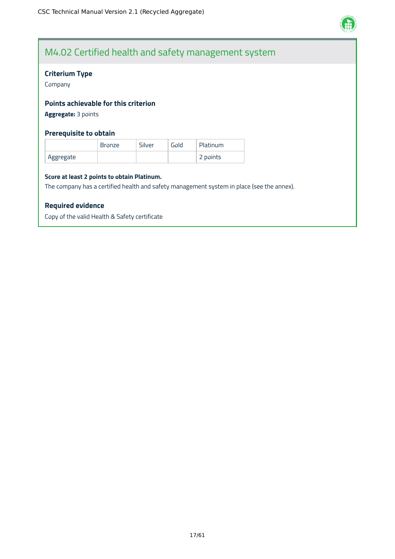

# M4.02 Certified health and safety management system

# **Criterium Type**

Company

# **Points achievable for this criterion**

**Aggregate:** 3 points

# **Prerequisite to obtain**

|           | <b>Bronze</b> | Silver | Gold | Platinum |
|-----------|---------------|--------|------|----------|
| Aggregate |               |        |      | 2 points |

#### **Score at least 2 points to obtain Platinum.**

The company has a certified health and safety management system in place (see the annex).

### **Required evidence**

Copy of the valid Health & Safety certificate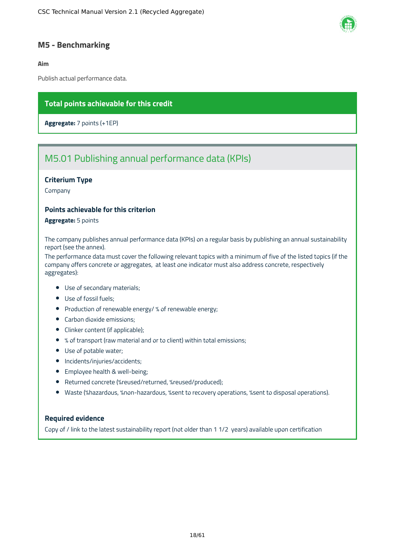

# <span id="page-18-0"></span>**M5 - Benchmarking**

#### **Aim**

Publish actual performance data.

# **Total points achievable for this credit**

**Aggregate:** 7 points (+1EP)

# M5.01 Publishing annual performance data (KPIs)

### **Criterium Type**

Company

# **Points achievable for this criterion**

**Aggregate:** 5 points

The company publishes annual performance data (KPIs) on a regular basis by publishing an annual sustainability report (see the annex).

The performance data must cover the following relevant topics with a minimum of five of the listed topics (if the company offers concrete or aggregates, at least one indicator must also address concrete, respectively aggregates):

- Use of secondary materials;
- Use of fossil fuels;
- Production of renewable energy/ % of renewable energy;
- Carbon dioxide emissions;
- Clinker content (if applicable);
- % of transport (raw material and or to client) within total emissions;
- Use of potable water;
- Incidents/injuries/accidents;
- **•** Employee health & well-being;
- Returned concrete (%reused/returned, %reused/produced);
- Waste (%hazardous, %non-hazardous, %sent to recovery operations, %sent to disposal operations).

# **Required evidence**

Copy of / link to the latest sustainability report (not older than 1 1/2 years) available upon certification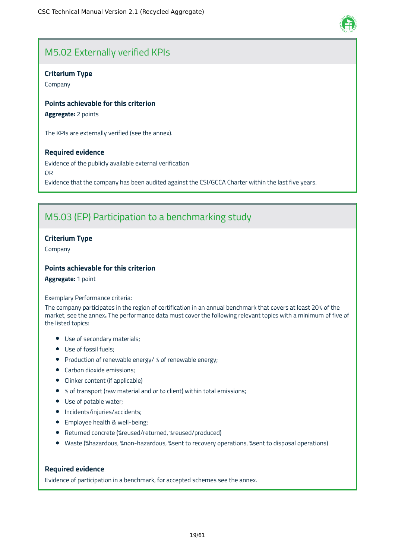

# M5.02 Externally verified KPIs

# **Criterium Type**

Company

# **Points achievable for this criterion**

**Aggregate:** 2 points

The KPIs are externally verified (see the annex).

# **Required evidence**

Evidence of the publicly available external verification OR Evidence that the company has been audited against the CSI/GCCA Charter within the last five years.

# M5.03 (EP) Participation to a benchmarking study

# **Criterium Type**

Company

# **Points achievable for this criterion**

**Aggregate:** 1 point

#### Exemplary Performance criteria:

The company participates in the region of certification in an annual benchmark that covers at least 20% of the market, see the annex**.** The performance data must cover the following relevant topics with a minimum of five of the listed topics:

- Use of secondary materials;
- Use of fossil fuels;
- Production of renewable energy/ % of renewable energy;
- Carbon dioxide emissions;
- Clinker content (if applicable)
- % of transport (raw material and or to client) within total emissions;
- Use of potable water;
- Incidents/injuries/accidents;
- **•** Employee health & well-being;
- Returned concrete (%reused/returned, %reused/produced)
- Waste (%hazardous, %non-hazardous, %sent to recovery operations, %sent to disposal operations)

# **Required evidence**

Evidence of participation in a benchmark, for accepted schemes see the annex.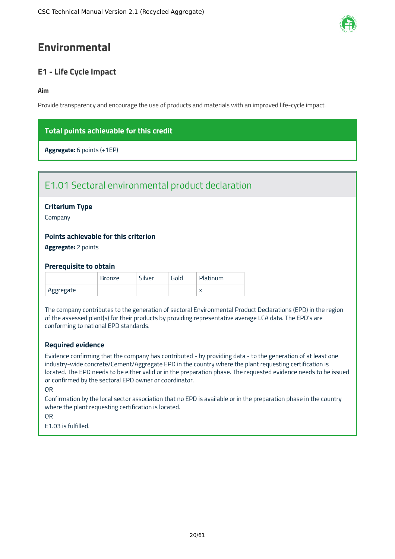# <span id="page-20-0"></span>**Environmental**

# <span id="page-20-1"></span>**E1 - Life Cycle Impact**

### **Aim**

Provide transparency and encourage the use of products and materials with an improved life-cycle impact.

# **Total points achievable for this credit**

**Aggregate:** 6 points (+1EP)

# E1.01 Sectoral environmental product declaration

# **Criterium Type**

Company

# **Points achievable for this criterion**

**Aggregate:** 2 points

### **Prerequisite to obtain**

|           | <b>Bronze</b> | Silver | Gold | <b>Platinum</b> |
|-----------|---------------|--------|------|-----------------|
| Aggregate |               |        |      |                 |

The company contributes to the generation of sectoral Environmental Product Declarations (EPD) in the region of the assessed plant(s) for their products by providing representative average LCA data. The EPD's are conforming to national EPD standards.

# **Required evidence**

Evidence confirming that the company has contributed - by providing data - to the generation of at least one industry-wide concrete/Cement/Aggregate EPD in the country where the plant requesting certification is located. The EPD needs to be either valid or in the preparation phase. The requested evidence needs to be issued or confirmed by the sectoral EPD owner or coordinator.

#### OR

Confirmation by the local sector association that no EPD is available or in the preparation phase in the country where the plant requesting certification is located.

OR

E1.03 is fulfilled.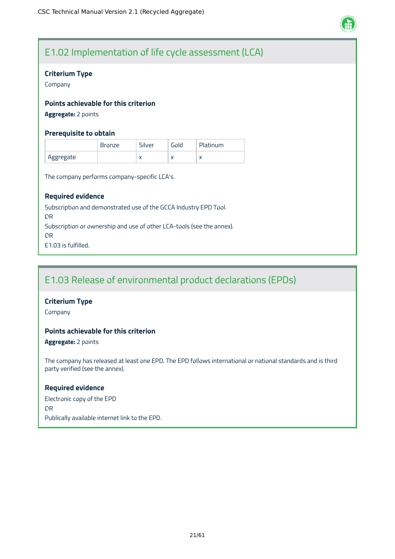

# E1.02 Implementation of life cycle assessment (LCA)

# **Criterium Type**

Company

# **Points achievable for this criterion**

**Aggregate:** 2 points

# **Prerequisite to obtain**

|           | <b>Bronze</b> | Silver    | Gold      | Platinum |
|-----------|---------------|-----------|-----------|----------|
| Aggregate |               | $\lambda$ | $\lambda$ |          |

The company performs company-specific LCA's.

# **Required evidence**

Subscription and demonstrated use of the GCCA Industry EPD Tool. OR Subscription or ownership and use of other LCA-tools (see the annex). OR E1.03 is fulfilled.

# E1.03 Release of environmental product declarations (EPDs)

# **Criterium Type**

Company

# **Points achievable for this criterion**

**Aggregate:** 2 points

The company has released at least one EPD. The EPD follows international or national standards and is third party verified (see the annex).

### **Required evidence**

Electronic copy of the EPD OR Publically available internet link to the EPD.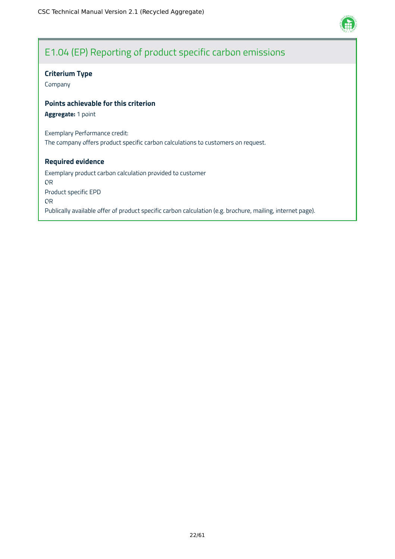

# E1.04 (EP) Reporting of product specific carbon emissions

# **Criterium Type**

Company

# **Points achievable for this criterion**

**Aggregate:** 1 point

Exemplary Performance credit: The company offers product specific carbon calculations to customers on request.

### **Required evidence**

Exemplary product carbon calculation provided to customer OR Product specific EPD OR Publically available offer of product specific carbon calculation (e.g. brochure, mailing, internet page).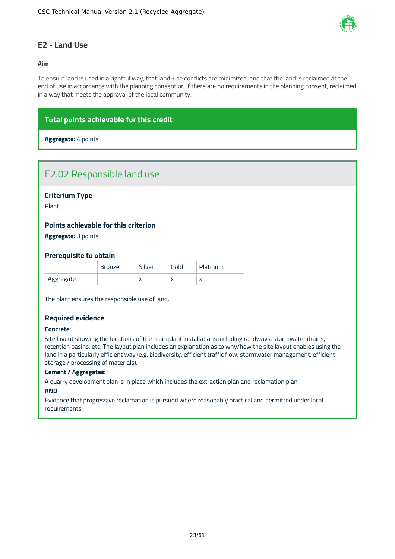

# <span id="page-23-0"></span>**E2 - Land Use**

### **Aim**

To ensure land is used in a rightful way, that land-use conflicts are minimized, and that the land is reclaimed at the end of use in accordance with the planning consent or, if there are no requirements in the planning consent, reclaimed in a way that meets the approval of the local community.

# **Total points achievable for this credit**

**Aggregate:** 4 points

# E2.02 Responsible land use

**Criterium Type**

Plant

### **Points achievable for this criterion**

**Aggregate:** 3 points

#### **Prerequisite to obtain**

|           | <b>Bronze</b> | Silver    | <b>Gold</b> | Platinum |
|-----------|---------------|-----------|-------------|----------|
| Aggregate |               | $\lambda$ | $\lambda$   |          |

The plant ensures the responsible use of land.

### **Required evidence**

#### **Concrete**:

Site layout showing the locations of the main plant installations including roadways, stormwater drains, retention basins, etc. The layout plan includes an explanation as to why/how the site layout enables using the land in a particularly efficient way (e.g. biodiversity, efficient traffic flow, stormwater management, efficient storage / processing of materials).

#### **Cement / Aggregates:**

A quarry development plan is in place which includes the extraction plan and reclamation plan.

#### **AND**

Evidence that progressive reclamation is pursued where reasonably practical and permitted under local requirements.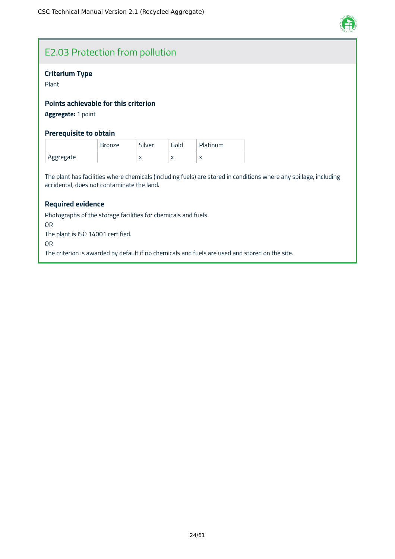

# E2.03 Protection from pollution

# **Criterium Type**

Plant

# **Points achievable for this criterion**

# **Aggregate:** 1 point

# **Prerequisite to obtain**

|           | <b>Bronze</b> | Silver    | <b>Gold</b> | Platinum  |
|-----------|---------------|-----------|-------------|-----------|
| Aggregate |               | $\lambda$ | $\sqrt{ }$  | $\lambda$ |

The plant has facilities where chemicals (including fuels) are stored in conditions where any spillage, including accidental, does not contaminate the land.

# **Required evidence**

Photographs of the storage facilities for chemicals and fuels OR The plant is ISO 14001 certified. OR The criterion is awarded by default if no chemicals and fuels are used and stored on the site.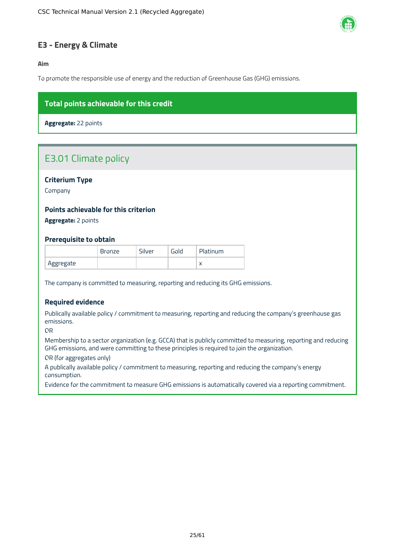

# <span id="page-25-0"></span>**E3 - Energy & Climate**

**Aim**

To promote the responsible use of energy and the reduction of Greenhouse Gas (GHG) emissions.

# **Total points achievable for this credit**

**Aggregate:** 22 points

# E3.01 Climate policy

# **Criterium Type**

Company

# **Points achievable for this criterion**

**Aggregate:** 2 points

### **Prerequisite to obtain**

|           | <b>Bronze</b> | Silver | Gold | Platinum |
|-----------|---------------|--------|------|----------|
| Aggregate |               |        |      |          |

The company is committed to measuring, reporting and reducing its GHG emissions.

# **Required evidence**

Publically available policy / commitment to measuring, reporting and reducing the company's greenhouse gas emissions.

OR

Membership to a sector organization (e.g. GCCA) that is publicly committed to measuring, reporting and reducing GHG emissions, and were committing to these principles is required to join the organization.

OR (for aggregates only)

A publically available policy / commitment to measuring, reporting and reducing the company's energy consumption.

Evidence for the commitment to measure GHG emissions is automatically covered via a reporting commitment.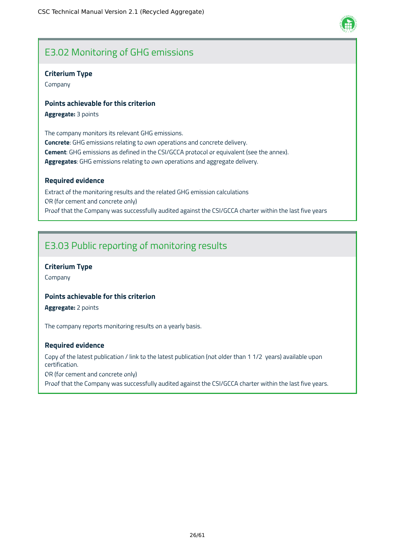# E3.02 Monitoring of GHG emissions

# **Criterium Type**

Company

# **Points achievable for this criterion**

**Aggregate:** 3 points

The company monitors its relevant GHG emissions. **Concrete**: GHG emissions relating to own operations and concrete delivery. **Cement**: GHG emissions as defined in the CSI/GCCA protocol or equivalent (see the annex). **Aggregates**: GHG emissions relating to own operations and aggregate delivery.

### **Required evidence**

Extract of the monitoring results and the related GHG emission calculations OR (for cement and concrete only) Proof that the Company was successfully audited against the CSI/GCCA charter within the last five years

# E3.03 Public reporting of monitoring results

# **Criterium Type**

Company

# **Points achievable for this criterion**

**Aggregate:** 2 points

The company reports monitoring results on a yearly basis.

### **Required evidence**

Copy of the latest publication / link to the latest publication (not older than 1 1/2 years) available upon certification.

OR (for cement and concrete only)

Proof that the Company was successfully audited against the CSI/GCCA charter within the last five years.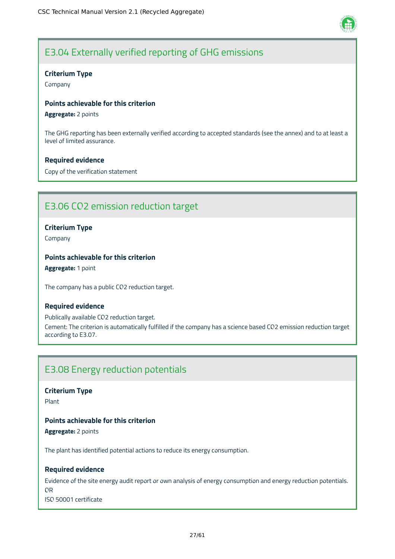

# E3.04 Externally verified reporting of GHG emissions

# **Criterium Type**

Company

# **Points achievable for this criterion**

**Aggregate:** 2 points

The GHG reporting has been externally verified according to accepted standards (see the annex) and to at least a level of limited assurance.

# **Required evidence**

Copy of the verification statement

# E3.06 CO2 emission reduction target

# **Criterium Type**

Company

# **Points achievable for this criterion**

**Aggregate:** 1 point

The company has a public CO2 reduction target.

### **Required evidence**

Publically available CO2 reduction target. Cement: The criterion is automatically fulfilled if the company has a science based CO2 emission reduction target according to E3.07.

# E3.08 Energy reduction potentials

**Criterium Type**

Plant

# **Points achievable for this criterion**

**Aggregate:** 2 points

The plant has identified potential actions to reduce its energy consumption.

# **Required evidence**

Evidence of the site energy audit report or own analysis of energy consumption and energy reduction potentials. OR ISO 50001 certificate

27/61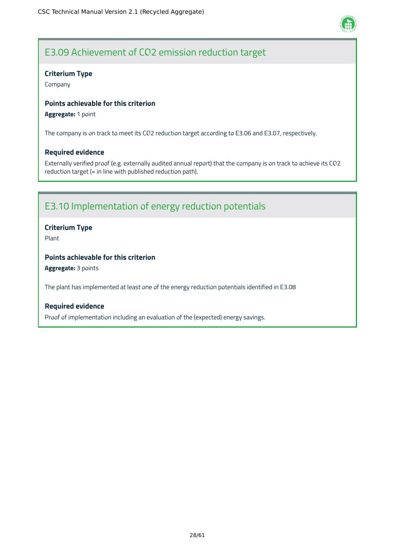

# E3.09 Achievement of CO2 emission reduction target

# **Criterium Type**

Company

# **Points achievable for this criterion**

# **Aggregate:** 1 point

The company is on track to meet its CO2 reduction target according to E3.06 and E3.07, respectively.

### **Required evidence**

Externally verified proof (e.g. externally audited annual report) that the company is on track to achieve its CO2 reduction target (= in line with published reduction path).

# E3.10 Implementation of energy reduction potentials

# **Criterium Type**

Plant

# **Points achievable for this criterion**

**Aggregate:** 3 points

The plant has implemented at least one of the energy reduction potentials identified in E3.08

### **Required evidence**

Proof of implementation including an evaluation of the (expected) energy savings.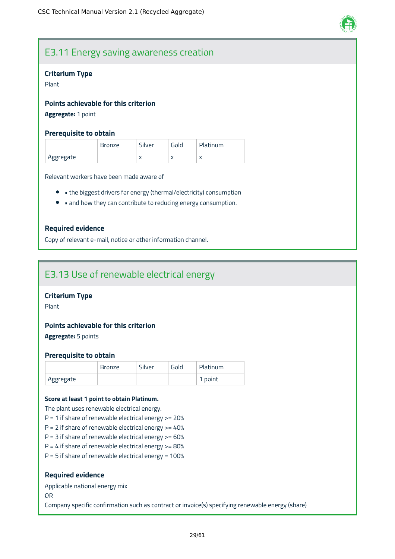

# E3.11 Energy saving awareness creation

#### **Criterium Type**

Plant

# **Points achievable for this criterion**

# **Aggregate:** 1 point

#### **Prerequisite to obtain**

|           | <b>Bronze</b> | Silver    | Gold      | Platinum  |
|-----------|---------------|-----------|-----------|-----------|
| Aggregate |               | $\lambda$ | $\lambda$ | $\lambda$ |

Relevant workers have been made aware of

- the biggest drivers for energy (thermal/electricity) consumption
- and how they can contribute to reducing energy consumption.

### **Required evidence**

Copy of relevant e-mail, notice or other information channel.

# E3.13 Use of renewable electrical energy

# **Criterium Type**

Plant

# **Points achievable for this criterion**

**Aggregate:** 5 points

#### **Prerequisite to obtain**

|           | <b>Bronze</b> | Silver | Gold | Platinum |
|-----------|---------------|--------|------|----------|
| Aggregate |               |        |      | 1 point  |

#### **Score at least 1 point to obtain Platinum.**

The plant uses renewable electrical energy.

- $P = 1$  if share of renewable electrical energy  $> = 20%$
- $P = 2$  if share of renewable electrical energy  $> = 40\%$
- $P = 3$  if share of renewable electrical energy  $> = 60\%$
- $P = 4$  if share of renewable electrical energy  $> = 80\%$
- $P = 5$  if share of renewable electrical energy = 100%

#### **Required evidence**

Applicable national energy mix

OR

Company specific confirmation such as contract or invoice(s) specifying renewable energy (share)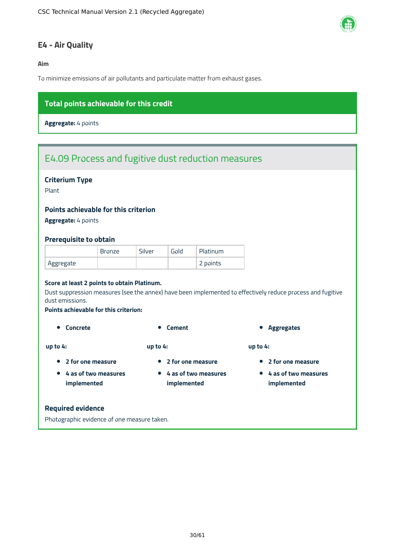

# <span id="page-30-0"></span>**E4 - Air Quality**

**Aim**

To minimize emissions of air pollutants and particulate matter from exhaust gases.

# **Total points achievable for this credit**

**Aggregate:** 4 points

# E4.09 Process and fugitive dust reduction measures

# **Criterium Type**

Plant

### **Points achievable for this criterion**

**Aggregate:** 4 points

#### **Prerequisite to obtain**

|           | <b>Bronze</b> | Silver | Gold | Platinum |
|-----------|---------------|--------|------|----------|
| Aggregate |               |        |      | 2 points |

#### **Score at least 2 points to obtain Platinum.**

Dust suppression measures (see the annex) have been implemented to effectively reduce process and fugitive dust emissions.

#### **Points achievable for this criterion:**

**2 for one measure 4 as of two measures implemented**

**up to 4:**

**up to 4:**

- 
- **2 for one measure**
- **4 as of two measures implemented**
- **Concrete Concrete Cement Concrete Cement Aggregates**

**up to 4:**

- **2 for one measure**
- **4 as of two measures implemented**

#### **Required evidence**

Photographic evidence of one measure taken.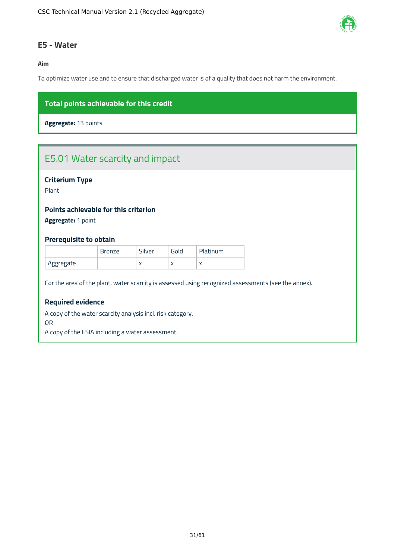

# <span id="page-31-0"></span>**E5 - Water**

### **Aim**

To optimize water use and to ensure that discharged water is of a quality that does not harm the environment.

# **Total points achievable for this credit**

**Aggregate:** 13 points

# E5.01 Water scarcity and impact

# **Criterium Type**

Plant

# **Points achievable for this criterion**

**Aggregate:** 1 point

### **Prerequisite to obtain**

|           | <b>Bronze</b> | Silver    | Gold      | Platinum  |
|-----------|---------------|-----------|-----------|-----------|
| Aggregate |               | $\lambda$ | $\lambda$ | $\lambda$ |

For the area of the plant, water scarcity is assessed using recognized assessments (see the annex).

# **Required evidence**

A copy of the water scarcity analysis incl. risk category.

OR

A copy of the ESIA including a water assessment.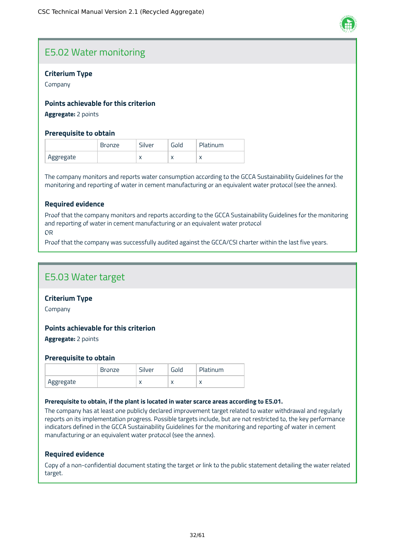

# E5.02 Water monitoring

# **Criterium Type**

Company

# **Points achievable for this criterion**

**Aggregate:** 2 points

### **Prerequisite to obtain**

|           | <b>Bronze</b> | Silver    | <b>Gold</b> | Platinum |
|-----------|---------------|-----------|-------------|----------|
| Aggregate |               | $\lambda$ | $\lambda$   |          |

The company monitors and reports water consumption according to the GCCA Sustainability Guidelines for the monitoring and reporting of water in cement manufacturing or an equivalent water protocol (see the annex).

# **Required evidence**

Proof that the company monitors and reports according to the GCCA Sustainability Guidelines for the monitoring and reporting of water in cement manufacturing or an equivalent water protocol OR

Proof that the company was successfully audited against the GCCA/CSI charter within the last five years.

# E5.03 Water target

### **Criterium Type**

Company

### **Points achievable for this criterion**

**Aggregate:** 2 points

### **Prerequisite to obtain**

|           | <b>Bronze</b> | Silver    | Gold       | Platinum  |
|-----------|---------------|-----------|------------|-----------|
| Aggregate |               | $\lambda$ | $\sqrt{ }$ | $\lambda$ |

#### **Prerequisite to obtain, if the plant is located in water scarce areas according to E5.01.**

The company has at least one publicly declared improvement target related to water withdrawal and regularly reports on its implementation progress. Possible targets include, but are not restricted to, the key performance indicators defined in the GCCA Sustainability Guidelines for the monitoring and reporting of water in cement manufacturing or an equivalent water protocol (see the annex).

### **Required evidence**

Copy of a non-confidential document stating the target or link to the public statement detailing the water related target.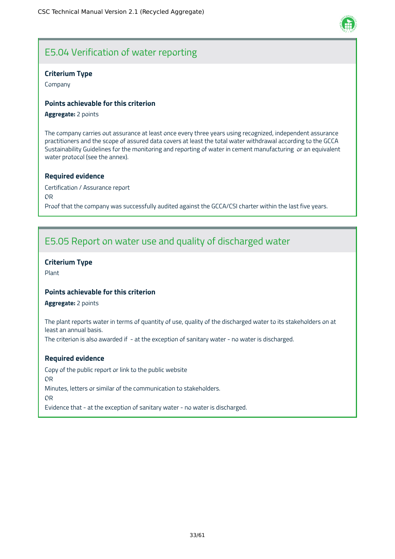

# E5.04 Verification of water reporting

# **Criterium Type**

Company

# **Points achievable for this criterion**

#### **Aggregate:** 2 points

The company carries out assurance at least once every three years using recognized, independent assurance practitioners and the scope of assured data covers at least the total water withdrawal according to the GCCA Sustainability Guidelines for the monitoring and reporting of water in cement manufacturing or an equivalent water protocol (see the annex).

### **Required evidence**

Certification / Assurance report OR Proof that the company was successfully audited against the GCCA/CSI charter within the last five years.

# E5.05 Report on water use and quality of discharged water

# **Criterium Type**

Plant

# **Points achievable for this criterion**

**Aggregate:** 2 points

The plant reports water in terms of quantity of use, quality of the discharged water to its stakeholders on at least an annual basis.

The criterion is also awarded if - at the exception of sanitary water - no water is discharged.

### **Required evidence**

Copy of the public report or link to the public website OR Minutes, letters or similar of the communication to stakeholders. OR Evidence that - at the exception of sanitary water - no water is discharged.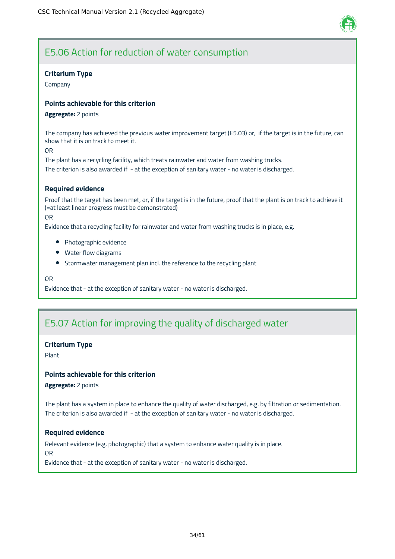

# E5.06 Action for reduction of water consumption

# **Criterium Type**

Company

# **Points achievable for this criterion**

#### **Aggregate:** 2 points

The company has achieved the previous water improvement target (E5.03) or, if the target is in the future, can show that it is on track to meet it.

OR

The plant has a recycling facility, which treats rainwater and water from washing trucks. The criterion is also awarded if - at the exception of sanitary water - no water is discharged.

# **Required evidence**

Proof that the target has been met, or, if the target is in the future, proof that the plant is on track to achieve it (=at least linear progress must be demonstrated)

OR

Evidence that a recycling facility for rainwater and water from washing trucks is in place, e.g.

- Photographic evidence
- Water flow diagrams
- Stormwater management plan incl. the reference to the recycling plant

OR

Evidence that - at the exception of sanitary water - no water is discharged.

# E5.07 Action for improving the quality of discharged water

# **Criterium Type**

Plant

# **Points achievable for this criterion**

**Aggregate:** 2 points

The plant has a system in place to enhance the quality of water discharged, e.g. by filtration or sedimentation. The criterion is also awarded if - at the exception of sanitary water - no water is discharged.

### **Required evidence**

Relevant evidence (e.g. photographic) that a system to enhance water quality is in place. OR

Evidence that - at the exception of sanitary water - no water is discharged.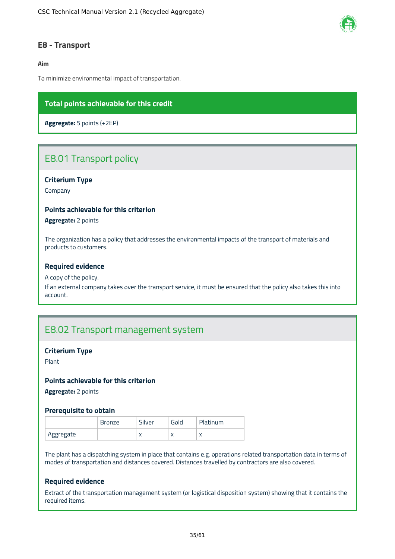

# <span id="page-35-0"></span>**E8 - Transport**

### **Aim**

To minimize environmental impact of transportation.

# **Total points achievable for this credit**

**Aggregate:** 5 points (+2EP)

# E8.01 Transport policy

# **Criterium Type**

Company

#### **Points achievable for this criterion**

**Aggregate:** 2 points

The organization has a policy that addresses the environmental impacts of the transport of materials and products to customers.

#### **Required evidence**

#### A copy of the policy.

If an external company takes over the transport service, it must be ensured that the policy also takes this into account.

# E8.02 Transport management system

#### **Criterium Type**

Plant

#### **Points achievable for this criterion**

**Aggregate:** 2 points

#### **Prerequisite to obtain**

|           | <b>Bronze</b> | Silver    | Gold      | Platinum                 |
|-----------|---------------|-----------|-----------|--------------------------|
| Aggregate |               | $\lambda$ | $\lambda$ | $\overline{\phantom{a}}$ |

The plant has a dispatching system in place that contains e.g. operations related transportation data in terms of modes of transportation and distances covered. Distances travelled by contractors are also covered.

# **Required evidence**

Extract of the transportation management system (or logistical disposition system) showing that it contains the required items.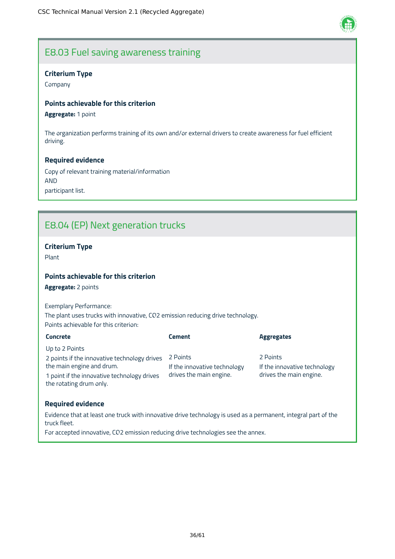

# E8.03 Fuel saving awareness training

# **Criterium Type**

Company

# **Points achievable for this criterion**

**Aggregate:** 1 point

The organization performs training of its own and/or external drivers to create awareness for fuel efficient driving.

### **Required evidence**

Copy of relevant training material/information AND participant list.

# E8.04 (EP) Next generation trucks

# **Criterium Type**

Plant

# **Points achievable for this criterion**

**Aggregate:** 2 points

Exemplary Performance: The plant uses trucks with innovative, CO2 emission reducing drive technology. Points achievable for this criterion:

| <b>Concrete</b>                                                        | <b>Cement</b>                | <b>Aggregates</b>            |
|------------------------------------------------------------------------|------------------------------|------------------------------|
| Up to 2 Points                                                         |                              |                              |
| 2 points if the innovative technology drives                           | 2 Points                     | 2 Points                     |
| the main engine and drum.                                              | If the innovative technology | If the innovative technology |
| 1 point if the innovative technology drives<br>the rotating drum only. | drives the main engine.      | drives the main engine.      |

### **Required evidence**

Evidence that at least one truck with innovative drive technology is used as a permanent, integral part of the truck fleet.

For accepted innovative, CO2 emission reducing drive technologies see the annex.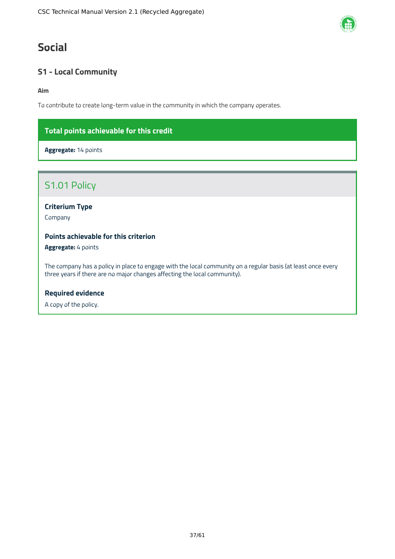# <span id="page-37-0"></span>**Social**

# <span id="page-37-1"></span>**S1 - Local Community**

**Aim**

To contribute to create long-term value in the community in which the company operates.

# **Total points achievable for this credit**

**Aggregate:** 14 points

# S1.01 Policy

**Criterium Type**

Company

# **Points achievable for this criterion**

**Aggregate:** 4 points

The company has a policy in place to engage with the local community on a regular basis (at least once every three years if there are no major changes affecting the local community).

# **Required evidence**

A copy of the policy.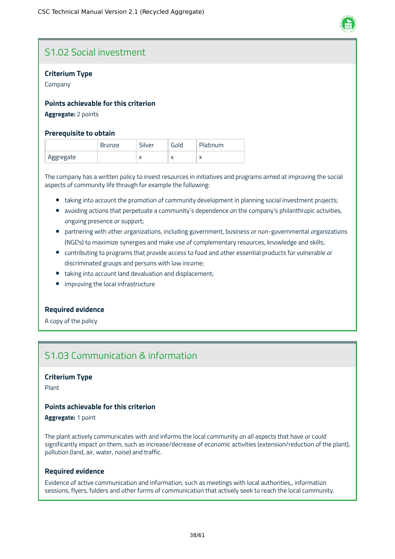

# S1.02 Social investment

# **Criterium Type**

Company

### **Points achievable for this criterion**

#### **Aggregate:** 2 points

#### **Prerequisite to obtain**

|           | <b>Bronze</b> | Silver    | Gold      | Platinum  |
|-----------|---------------|-----------|-----------|-----------|
| Aggregate |               | $\lambda$ | $\lambda$ | $\lambda$ |

The company has a written policy to invest resources in initiatives and programs aimed at improving the social aspects of community life through for example the following:

- taking into account the promotion of community development in planning social investment projects;
- avoiding actions that perpetuate a community's dependence on the company's philanthropic activities, ongoing presence or support;
- partnering with other organizations, including government, business or non-governmental organizations (NGOs) to maximize synergies and make use of complementary resources, knowledge and skills;
- contributing to programs that provide access to food and other essential products for vulnerable or discriminated groups and persons with low income;
- taking into account land devaluation and displacement;
- improving the local infrastructure

# **Required evidence**

A copy of the policy

# S1.03 Communication & information

#### **Criterium Type**

Plant

# **Points achievable for this criterion**

**Aggregate:** 1 point

The plant actively communicates with and informs the local community on all aspects that have or could significantly impact on them, such as increase/decrease of economic activities (extension/reduction of the plant), pollution (land, air, water, noise) and traffic.

### **Required evidence**

Evidence of active communication and information, such as meetings with local authorities,, information sessions, flyers, folders and other forms of communication that actively seek to reach the local community.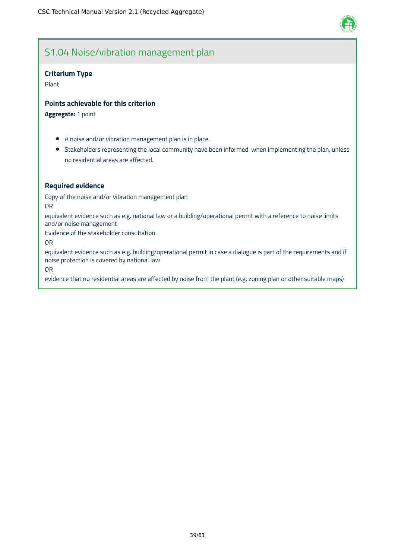

# S1.04 Noise/vibration management plan

### **Criterium Type**

Plant

#### **Points achievable for this criterion**

**Aggregate:** 1 point

- A noise and/or vibration management plan is in place.
- Stakeholders representing the local community have been informed when implementing the plan, unless no residential areas are affected.

#### **Required evidence**

Copy of the noise and/or vibration management plan

OR

equivalent evidence such as e.g. national law or a building/operational permit with a reference to noise limits and/or noise management

Evidence of the stakeholder consultation

OR

equivalent evidence such as e.g. building/operational permit in case a dialogue is part of the requirements and if noise protection is covered by national law

OR

evidence that no residential areas are affected by noise from the plant (e.g. zoning plan or other suitable maps)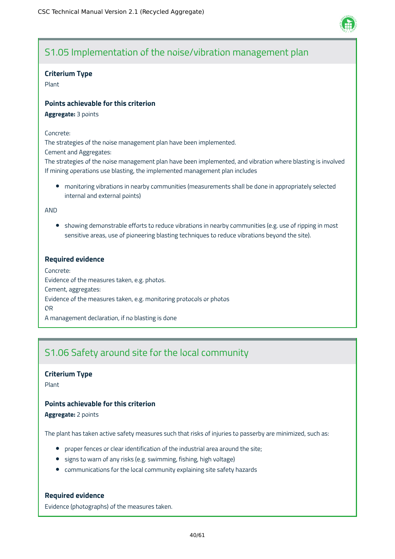

# S1.05 Implementation of the noise/vibration management plan

### **Criterium Type**

Plant

### **Points achievable for this criterion**

**Aggregate:** 3 points

#### Concrete:

The strategies of the noise management plan have been implemented.

Cement and Aggregates:

The strategies of the noise management plan have been implemented, and vibration where blasting is involved If mining operations use blasting, the implemented management plan includes

monitoring vibrations in nearby communities (measurements shall be done in appropriately selected internal and external points)

AND

• showing demonstrable efforts to reduce vibrations in nearby communities (e.g. use of ripping in most sensitive areas, use of pioneering blasting techniques to reduce vibrations beyond the site).

# **Required evidence**

Concrete: Evidence of the measures taken, e.g. photos. Cement, aggregates: Evidence of the measures taken, e.g. monitoring protocols or photos OR A management declaration, if no blasting is done

# S1.06 Safety around site for the local community

### **Criterium Type**

Plant

# **Points achievable for this criterion**

**Aggregate:** 2 points

The plant has taken active safety measures such that risks of injuries to passerby are minimized, such as:

- proper fences or clear identification of the industrial area around the site;
- signs to warn of any risks (e.g. swimming, fishing, high voltage)
- communications for the local community explaining site safety hazards

### **Required evidence**

Evidence (photographs) of the measures taken.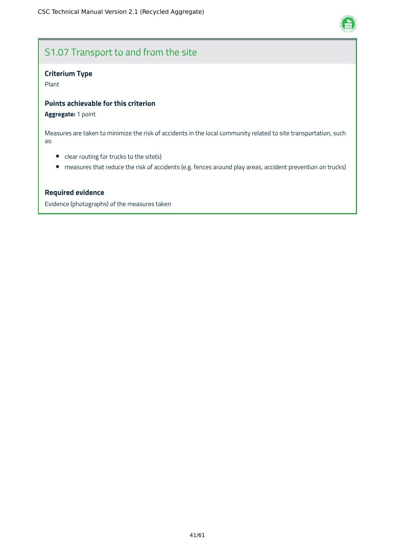

# S1.07 Transport to and from the site

# **Criterium Type**

Plant

# **Points achievable for this criterion**

# **Aggregate:** 1 point

Measures are taken to minimize the risk of accidents in the local community related to site transportation, such as:

- clear routing for trucks to the site(s)
- measures that reduce the risk of accidents (e.g. fences around play areas, accident prevention on trucks)

# **Required evidence**

Evidence (photographs) of the measures taken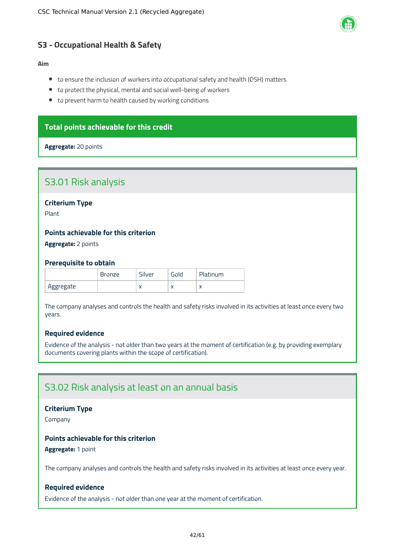

# <span id="page-42-0"></span>**S3 - Occupational Health & Safety**

### **Aim**

- to ensure the inclusion of workers into occupational safety and health (OSH) matters
- to protect the physical, mental and social well-being of workers
- to prevent harm to health caused by working conditions

# **Total points achievable for this credit**

### **Aggregate:** 20 points

# S3.01 Risk analysis

**Criterium Type**

Plant

# **Points achievable for this criterion**

**Aggregate:** 2 points

### **Prerequisite to obtain**

|           | <b>Bronze</b> | Silver    | Gold      | Platinum |
|-----------|---------------|-----------|-----------|----------|
| Aggregate |               | $\lambda$ | $\lambda$ |          |

The company analyses and controls the health and safety risks involved in its activities at least once every two years.

# **Required evidence**

Evidence of the analysis - not older than two years at the moment of certification (e.g. by providing exemplary documents covering plants within the scope of certification).

# S3.02 Risk analysis at least on an annual basis

### **Criterium Type**

Company

# **Points achievable for this criterion**

**Aggregate:** 1 point

The company analyses and controls the health and safety risks involved in its activities at least once every year.

# **Required evidence**

Evidence of the analysis - not older than one year at the moment of certification.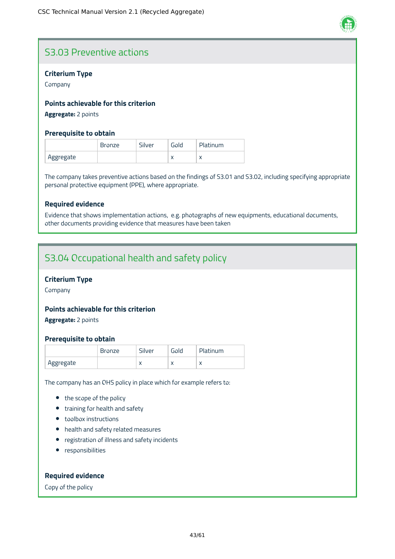

# S3.03 Preventive actions

# **Criterium Type**

Company

# **Points achievable for this criterion**

**Aggregate:** 2 points

### **Prerequisite to obtain**

|           | <b>Bronze</b> | Silver | Gold      | Platinum |
|-----------|---------------|--------|-----------|----------|
| Aggregate |               |        | $\lambda$ |          |

The company takes preventive actions based on the findings of S3.01 and S3.02, including specifying appropriate personal protective equipment (PPE), where appropriate.

# **Required evidence**

Evidence that shows implementation actions, e.g. photographs of new equipments, educational documents, other documents providing evidence that measures have been taken

# S3.04 Occupational health and safety policy

# **Criterium Type**

Company

### **Points achievable for this criterion**

**Aggregate:** 2 points

### **Prerequisite to obtain**

|           | Bronze | Silver    | Gold      | Platinum |
|-----------|--------|-----------|-----------|----------|
| Aggregate |        | $\lambda$ | $\lambda$ |          |

The company has an OHS policy in place which for example refers to:

- the scope of the policy
- training for health and safety
- toolbox instructions
- health and safety related measures
- registration of illness and safety incidents
- **•** responsibilities

# **Required evidence**

Copy of the policy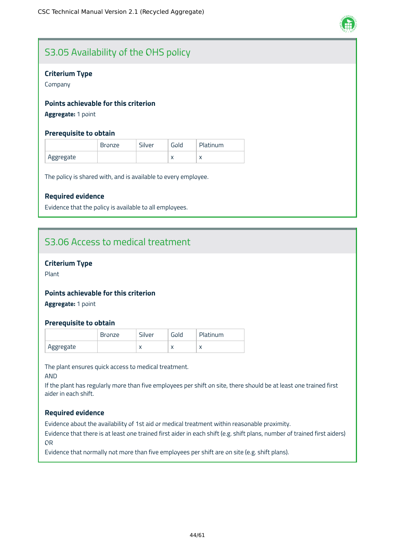

# S3.05 Availability of the OHS policy

# **Criterium Type**

Company

# **Points achievable for this criterion**

**Aggregate:** 1 point

### **Prerequisite to obtain**

|           | Bronze | Silver | Gold      | Platinum  |
|-----------|--------|--------|-----------|-----------|
| Aggregate |        |        | $\lambda$ | $\lambda$ |

The policy is shared with, and is available to every employee.

# **Required evidence**

Evidence that the policy is available to all employees.

# S3.06 Access to medical treatment

# **Criterium Type**

Plant

# **Points achievable for this criterion**

**Aggregate:** 1 point

### **Prerequisite to obtain**

|           | Bronze | Silver    | Gold      | Platinum |
|-----------|--------|-----------|-----------|----------|
| Aggregate |        | $\lambda$ | $\lambda$ |          |

The plant ensures quick access to medical treatment.

AND

If the plant has regularly more than five employees per shift on site, there should be at least one trained first aider in each shift.

### **Required evidence**

Evidence about the availability of 1st aid or medical treatment within reasonable proximity.

Evidence that there is at least one trained first aider in each shift (e.g. shift plans, number of trained first aiders) OR

Evidence that normally not more than five employees per shift are on site (e.g. shift plans).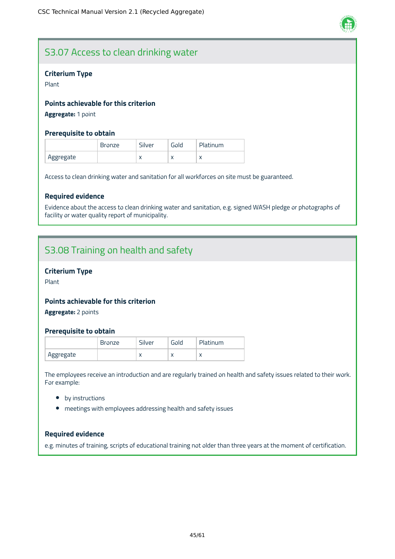

# S3.07 Access to clean drinking water

# **Criterium Type**

Plant

# **Points achievable for this criterion**

**Aggregate:** 1 point

### **Prerequisite to obtain**

|           | <b>Bronze</b> | Silver    | Gold      | Platinum  |
|-----------|---------------|-----------|-----------|-----------|
| Aggregate |               | $\lambda$ | $\lambda$ | $\lambda$ |

Access to clean drinking water and sanitation for all workforces on site must be guaranteed.

### **Required evidence**

Evidence about the access to clean drinking water and sanitation, e.g. signed WASH pledge or photographs of facility or water quality report of municipality.

# S3.08 Training on health and safety

# **Criterium Type**

Plant

### **Points achievable for this criterion**

**Aggregate:** 2 points

### **Prerequisite to obtain**

|           | Bronze | Silver    | Gold      | Platinum  |
|-----------|--------|-----------|-----------|-----------|
| Aggregate |        | $\lambda$ | $\lambda$ | $\lambda$ |

The employees receive an introduction and are regularly trained on health and safety issues related to their work. For example:

- by instructions
- meetings with employees addressing health and safety issues

# **Required evidence**

e.g. minutes of training, scripts of educational training not older than three years at the moment of certification.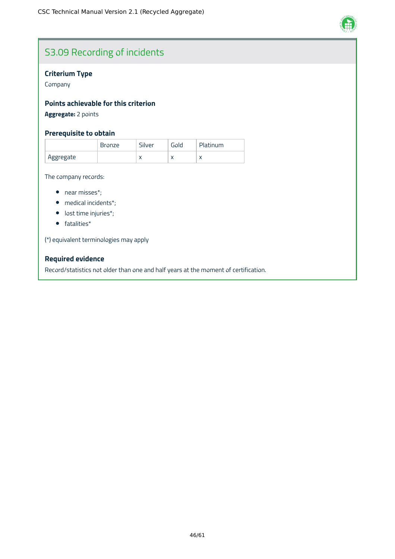

# S3.09 Recording of incidents

# **Criterium Type**

Company

# **Points achievable for this criterion**

**Aggregate:** 2 points

# **Prerequisite to obtain**

|           | <b>Bronze</b> | Silver | Gold      | Platinum   |
|-----------|---------------|--------|-----------|------------|
| Aggregate |               |        | $\lambda$ | $\sqrt{2}$ |

The company records:

- near misses\*;
- medical incidents\*;
- lost time injuries\*;
- fatalities\*

(\*) equivalent terminologies may apply

# **Required evidence**

Record/statistics not older than one and half years at the moment of certification.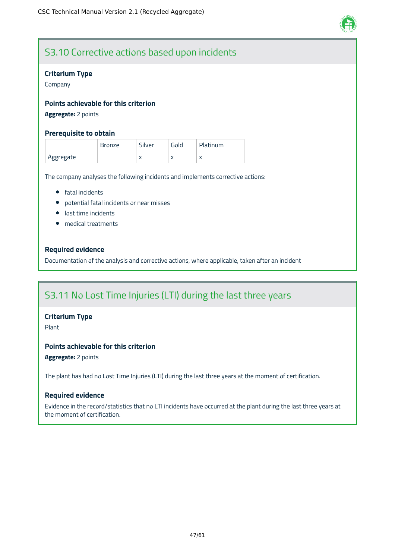

# S3.10 Corrective actions based upon incidents

# **Criterium Type**

Company

# **Points achievable for this criterion**

# **Aggregate:** 2 points

# **Prerequisite to obtain**

|           | Bronze | Silver    | Gold      | Platinum |
|-----------|--------|-----------|-----------|----------|
| Aggregate |        | $\lambda$ | $\lambda$ |          |

The company analyses the following incidents and implements corrective actions:

- **•** fatal incidents
- potential fatal incidents or near misses
- **·** lost time incidents
- medical treatments

# **Required evidence**

Documentation of the analysis and corrective actions, where applicable, taken after an incident

# S3.11 No Lost Time Injuries (LTI) during the last three years

### **Criterium Type**

Plant

# **Points achievable for this criterion**

**Aggregate:** 2 points

The plant has had no Lost Time Injuries (LTI) during the last three years at the moment of certification.

### **Required evidence**

Evidence in the record/statistics that no LTI incidents have occurred at the plant during the last three years at the moment of certification.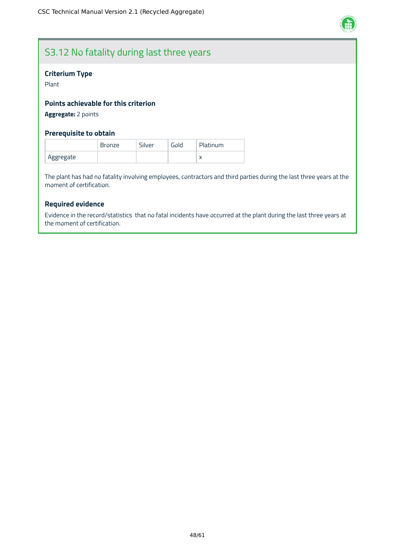

# S3.12 No fatality during last three years

# **Criterium Type**

Plant

# **Points achievable for this criterion**

**Aggregate:** 2 points

# **Prerequisite to obtain**

|           | <b>Bronze</b> | Silver | Gold | <b>Platinum</b> |
|-----------|---------------|--------|------|-----------------|
| Aggregate |               |        |      | $\lambda$       |

The plant has had no fatality involving employees, contractors and third parties during the last three years at the moment of certification.

# **Required evidence**

Evidence in the record/statistics that no fatal incidents have occurred at the plant during the last three years at the moment of certification.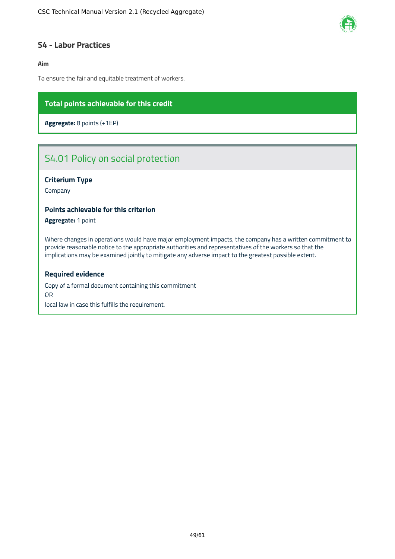

# <span id="page-49-0"></span>**S4 - Labor Practices**

# **Aim**

To ensure the fair and equitable treatment of workers.

# **Total points achievable for this credit**

**Aggregate:** 8 points (+1EP)

# S4.01 Policy on social protection

# **Criterium Type**

Company

#### **Points achievable for this criterion**

**Aggregate:** 1 point

Where changes in operations would have major employment impacts, the company has a written commitment to provide reasonable notice to the appropriate authorities and representatives of the workers so that the implications may be examined jointly to mitigate any adverse impact to the greatest possible extent.

#### **Required evidence**

Copy of a formal document containing this commitment OR local law in case this fulfills the requirement.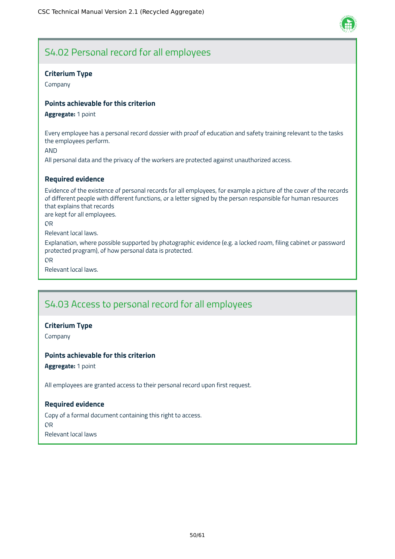

# S4.02 Personal record for all employees

# **Criterium Type**

Company

# **Points achievable for this criterion**

#### **Aggregate:** 1 point

Every employee has a personal record dossier with proof of education and safety training relevant to the tasks the employees perform.

AND

All personal data and the privacy of the workers are protected against unauthorized access.

# **Required evidence**

Evidence of the existence of personal records for all employees, for example a picture of the cover of the records of different people with different functions, or a letter signed by the person responsible for human resources that explains that records

are kept for all employees.

OR

Relevant local laws.

Explanation, where possible supported by photographic evidence (e.g. a locked room, filing cabinet or password protected program), of how personal data is protected.

OR

Relevant local laws.

# S4.03 Access to personal record for all employees

### **Criterium Type**

Company

### **Points achievable for this criterion**

**Aggregate:** 1 point

All employees are granted access to their personal record upon first request.

### **Required evidence**

Copy of a formal document containing this right to access. OR Relevant local laws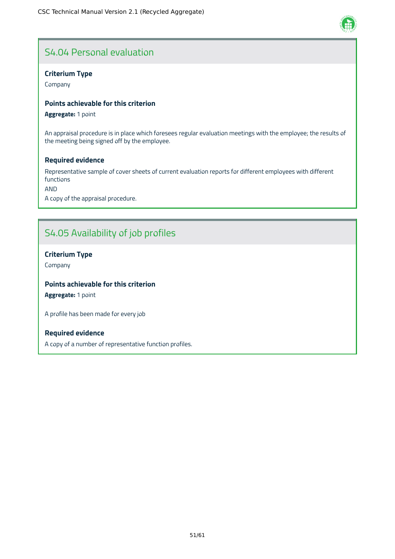# S4.04 Personal evaluation

# **Criterium Type**

Company

# **Points achievable for this criterion**

**Aggregate:** 1 point

An appraisal procedure is in place which foresees regular evaluation meetings with the employee; the results of the meeting being signed off by the employee.

# **Required evidence**

Representative sample of cover sheets of current evaluation reports for different employees with different functions

AND

A copy of the appraisal procedure.

# S4.05 Availability of job profiles

# **Criterium Type**

Company

# **Points achievable for this criterion**

**Aggregate:** 1 point

A profile has been made for every job

# **Required evidence**

A copy of a number of representative function profiles.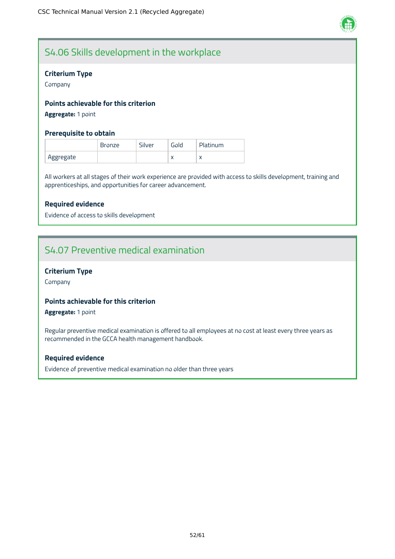

# S4.06 Skills development in the workplace

# **Criterium Type**

Company

# **Points achievable for this criterion**

**Aggregate:** 1 point

# **Prerequisite to obtain**

|           | <b>Bronze</b> | Silver | Gold      | Platinum  |
|-----------|---------------|--------|-----------|-----------|
| Aggregate |               |        | $\lambda$ | $\lambda$ |

All workers at all stages of their work experience are provided with access to skills development, training and apprenticeships, and opportunities for career advancement.

# **Required evidence**

Evidence of access to skills development

# S4.07 Preventive medical examination

# **Criterium Type**

Company

# **Points achievable for this criterion**

**Aggregate:** 1 point

Regular preventive medical examination is offered to all employees at no cost at least every three years as recommended in the GCCA health management handbook.

### **Required evidence**

Evidence of preventive medical examination no older than three years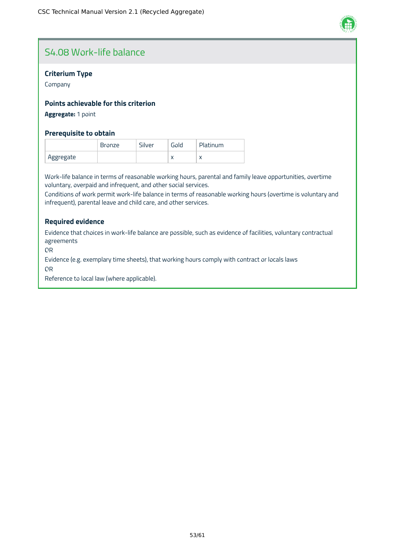

# S4.08 Work-life balance

# **Criterium Type**

Company

# **Points achievable for this criterion**

# **Aggregate:** 1 point

### **Prerequisite to obtain**

|           | <b>Bronze</b> | Silver | Gold      | Platinum |
|-----------|---------------|--------|-----------|----------|
| Aggregate |               |        | $\lambda$ |          |

Work-life balance in terms of reasonable working hours, parental and family leave opportunities, overtime voluntary, overpaid and infrequent, and other social services.

Conditions of work permit work-life balance in terms of reasonable working hours (overtime is voluntary and infrequent), parental leave and child care, and other services.

# **Required evidence**

Evidence that choices in work-life balance are possible, such as evidence of facilities, voluntary contractual agreements

OR

Evidence (e.g. exemplary time sheets), that working hours comply with contract or locals laws

OR

Reference to local law (where applicable).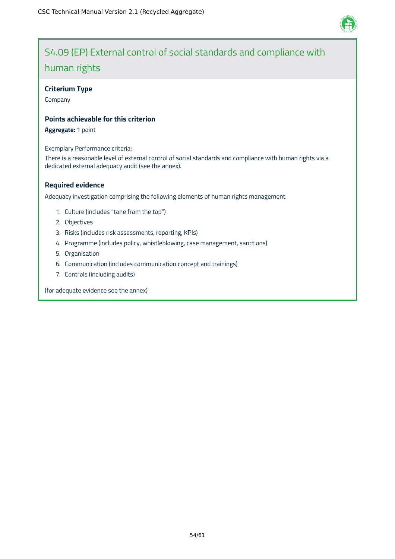

# S4.09 (EP) External control of social standards and compliance with human rights

# **Criterium Type**

Company

# **Points achievable for this criterion**

**Aggregate:** 1 point

Exemplary Performance criteria:

There is a reasonable level of external control of social standards and compliance with human rights via a dedicated external adequacy audit (see the annex).

# **Required evidence**

Adequacy investigation comprising the following elements of human rights management:

- 1. Culture (includes "tone from the top")
- 2. Objectives
- 3. Risks (includes risk assessments, reporting, KPIs)
- 4. Programme (includes policy, whistleblowing, case management, sanctions)
- 5. Organisation
- 6. Communication (includes communication concept and trainings)
- 7. Controls (including audits)

(for adequate evidence see the annex)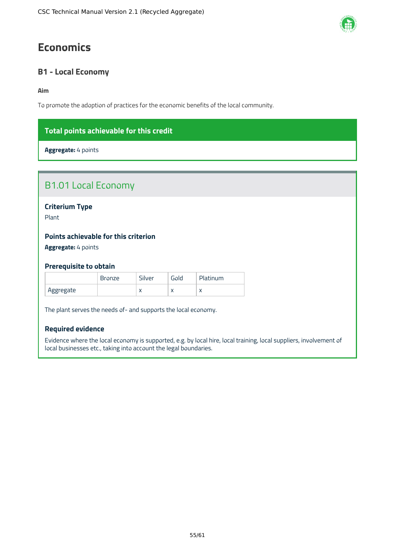# <span id="page-55-0"></span>**Economics**

# <span id="page-55-1"></span>**B1 - Local Economy**

# **Aim**

To promote the adoption of practices for the economic benefits of the local community.

# **Total points achievable for this credit**

**Aggregate:** 4 points

| <b>B1.01 Local Economy</b>           |               |        |      |          |  |
|--------------------------------------|---------------|--------|------|----------|--|
| <b>Criterium Type</b><br>Plant       |               |        |      |          |  |
| Points achievable for this criterion |               |        |      |          |  |
| Aggregate: 4 points                  |               |        |      |          |  |
| <b>Prerequisite to obtain</b>        |               |        |      |          |  |
|                                      | <b>Bronze</b> | Silver | Gold | Platinum |  |

| The plant serves the needs of- and supports the local economy. |  |  |
|----------------------------------------------------------------|--|--|

Aggregate  $\vert x \vert x \vert x \vert x \vert x$ 

# **Required evidence**

Evidence where the local economy is supported, e.g. by local hire, local training, local suppliers, involvement of local businesses etc., taking into account the legal boundaries.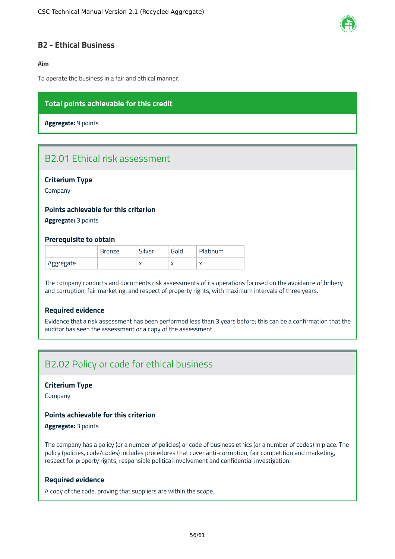

# <span id="page-56-0"></span>**B2 - Ethical Business**

# **Aim**

To operate the business in a fair and ethical manner.

# **Total points achievable for this credit**

**Aggregate:** 9 points

# B2.01 Ethical risk assessment

### **Criterium Type**

Company

# **Points achievable for this criterion**

**Aggregate:** 3 points

#### **Prerequisite to obtain**

|           | Bronze | Silver    | Gold      | Platinum |
|-----------|--------|-----------|-----------|----------|
| Aggregate |        | $\lambda$ | $\lambda$ |          |

The company conducts and documents risk assessments of its operations focused on the avoidance of bribery and corruption, fair marketing, and respect of property rights, with maximum intervals of three years.

# **Required evidence**

Evidence that a risk assessment has been performed less than 3 years before; this can be a confirmation that the auditor has seen the assessment or a copy of the assessment

# B2.02 Policy or code for ethical business

#### **Criterium Type**

Company

# **Points achievable for this criterion**

# **Aggregate:** 3 points

The company has a policy (or a number of policies) or code of business ethics (or a number of codes) in place. The policy (policies, code/codes) includes procedures that cover anti-corruption, fair competition and marketing, respect for property rights, responsible political involvement and confidential investigation.

#### **Required evidence**

A copy of the code, proving that suppliers are within the scope.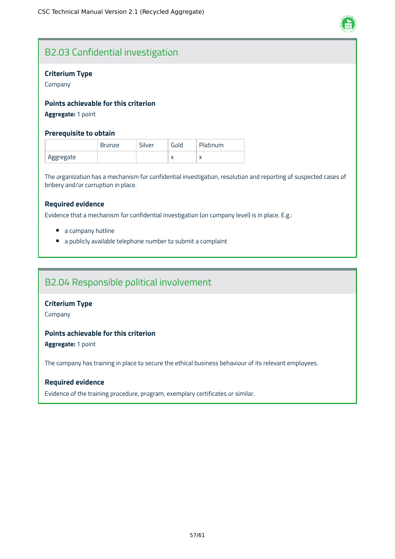

# B2.03 Confidential investigation

# **Criterium Type**

Company

# **Points achievable for this criterion**

# **Aggregate:** 1 point

### **Prerequisite to obtain**

|           | <b>Bronze</b> | Silver | Gold      | <b>Platinum</b> |
|-----------|---------------|--------|-----------|-----------------|
| Aggregate |               |        | $\lambda$ | $\lambda$       |

The organization has a mechanism for confidential investigation, resolution and reporting of suspected cases of bribery and/or corruption in place.

### **Required evidence**

Evidence that a mechanism for confidential investigation (on company level) is in place. E.g.:

- a company hotline
- a publicly available telephone number to submit a complaint

# B2.04 Responsible political involvement

# **Criterium Type**

Company

# **Points achievable for this criterion**

**Aggregate:** 1 point

The company has training in place to secure the ethical business behaviour of its relevant employees.

### **Required evidence**

Evidence of the training procedure, program, exemplary certificates or similar.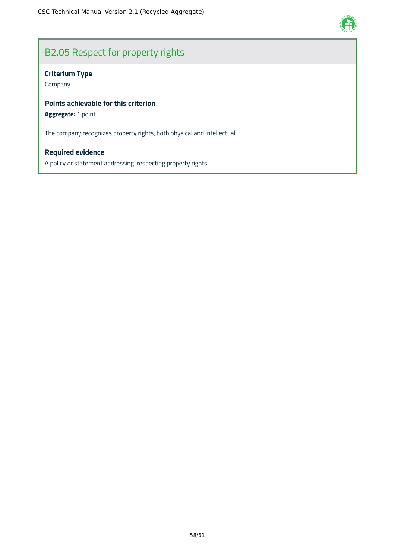

# B2.05 Respect for property rights

# **Criterium Type**

Company

# **Points achievable for this criterion**

# **Aggregate:** 1 point

The company recognizes property rights, both physical and intellectual.

# **Required evidence**

A policy or statement addressing respecting property rights.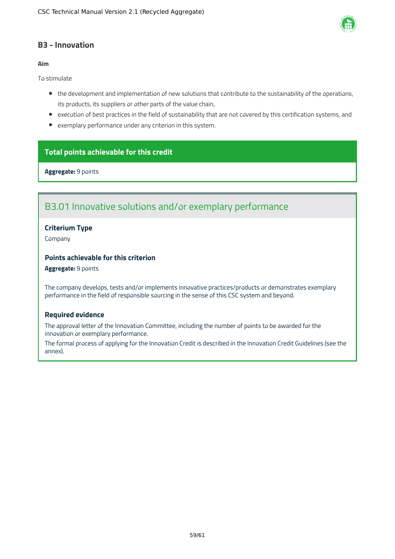

# <span id="page-59-0"></span>**B3 - Innovation**

# **Aim**

To stimulate

- the development and implementation of new solutions that contribute to the sustainability of the operations, its products, its suppliers or other parts of the value chain,
- execution of best practices in the field of sustainability that are not covered by this certification systems, and
- exemplary performance under any criterion in this system.

# **Total points achievable for this credit**

**Aggregate:** 9 points

# B3.01 Innovative solutions and/or exemplary performance

# **Criterium Type**

Company

# **Points achievable for this criterion**

#### **Aggregate:** 9 points

The company develops, tests and/or implements innovative practices/products or demonstrates exemplary performance in the field of responsible sourcing in the sense of this CSC system and beyond.

### **Required evidence**

The approval letter of the Innovation Committee, including the number of points to be awarded for the innovation or exemplary performance.

The formal process of applying for the Innovation Credit is described in the Innovation Credit Guidelines (see the annex).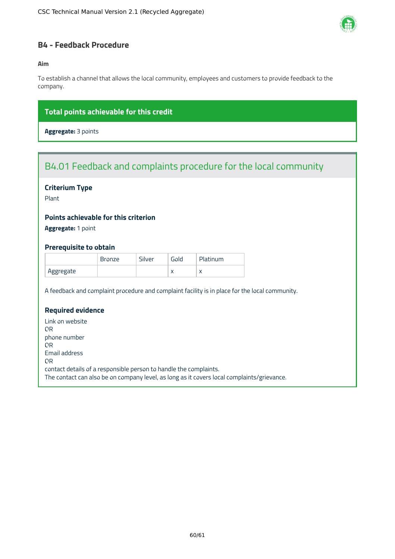

# <span id="page-60-0"></span>**B4 - Feedback Procedure**

# **Aim**

To establish a channel that allows the local community, employees and customers to provide feedback to the company.

# **Total points achievable for this credit**

**Aggregate:** 3 points

# B4.01 Feedback and complaints procedure for the local community

# **Criterium Type**

Plant

# **Points achievable for this criterion**

**Aggregate:** 1 point

# **Prerequisite to obtain**

|           | <b>Bronze</b> | Silver | Gold      | Platinum  |
|-----------|---------------|--------|-----------|-----------|
| Aggregate |               |        | $\lambda$ | $\lambda$ |

A feedback and complaint procedure and complaint facility is in place for the local community.

# **Required evidence**

Link on website OR phone number OR Email address OR contact details of a responsible person to handle the complaints. The contact can also be on company level, as long as it covers local complaints/grievance.